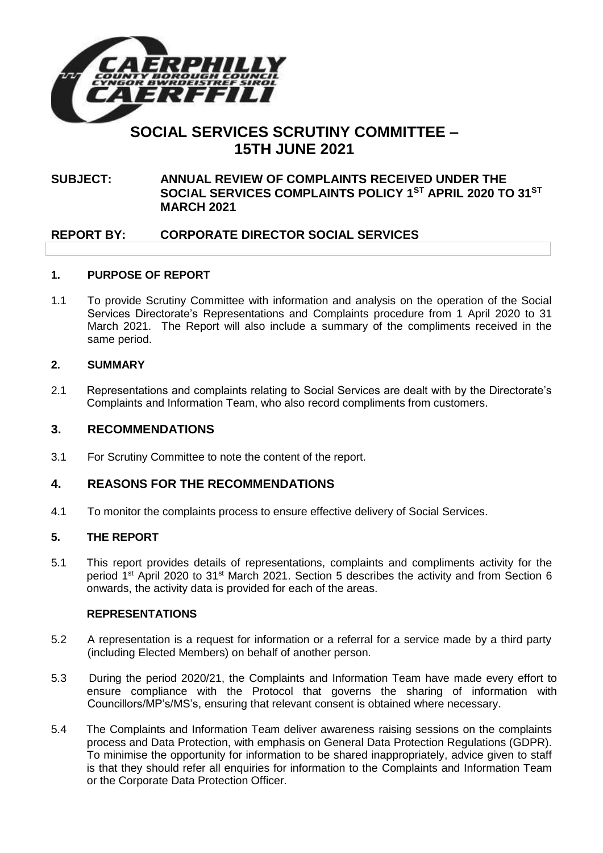

# **SOCIAL SERVICES SCRUTINY COMMITTEE – 15TH JUNE 2021**

# **SUBJECT: ANNUAL REVIEW OF COMPLAINTS RECEIVED UNDER THE SOCIAL SERVICES COMPLAINTS POLICY 1ST APRIL 2020 TO 31ST MARCH 2021**

# **REPORT BY: CORPORATE DIRECTOR SOCIAL SERVICES**

### **1. PURPOSE OF REPORT**

1.1 To provide Scrutiny Committee with information and analysis on the operation of the Social Services Directorate's Representations and Complaints procedure from 1 April 2020 to 31 March 2021. The Report will also include a summary of the compliments received in the same period.

## **2. SUMMARY**

2.1 Representations and complaints relating to Social Services are dealt with by the Directorate's Complaints and Information Team, who also record compliments from customers.

## **3. RECOMMENDATIONS**

3.1 For Scrutiny Committee to note the content of the report.

# **4. REASONS FOR THE RECOMMENDATIONS**

4.1 To monitor the complaints process to ensure effective delivery of Social Services.

### **5. THE REPORT**

5.1 This report provides details of representations, complaints and compliments activity for the period 1<sup>st</sup> April 2020 to 31<sup>st</sup> March 2021. Section 5 describes the activity and from Section 6 onwards, the activity data is provided for each of the areas.

### **REPRESENTATIONS**

- 5.2 A representation is a request for information or a referral for a service made by a third party (including Elected Members) on behalf of another person.
- 5.3 During the period 2020/21, the Complaints and Information Team have made every effort to ensure compliance with the Protocol that governs the sharing of information with Councillors/MP's/MS's, ensuring that relevant consent is obtained where necessary.
- 5.4 The Complaints and Information Team deliver awareness raising sessions on the complaints process and Data Protection, with emphasis on General Data Protection Regulations (GDPR). To minimise the opportunity for information to be shared inappropriately, advice given to staff is that they should refer all enquiries for information to the Complaints and Information Team or the Corporate Data Protection Officer.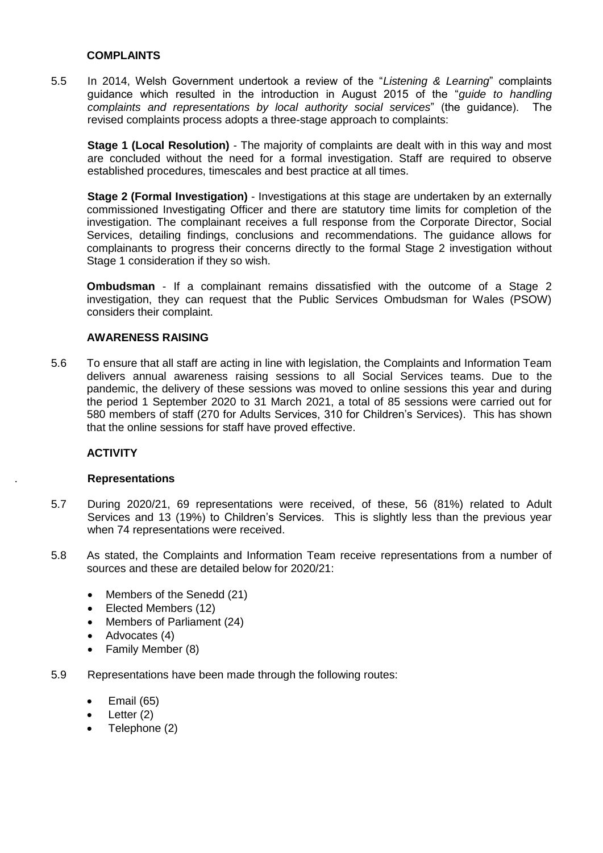#### **COMPLAINTS**

5.5 In 2014, Welsh Government undertook a review of the "*Listening & Learning*" complaints guidance which resulted in the introduction in August 2015 of the "*guide to handling complaints and representations by local authority social services*" (the guidance). The revised complaints process adopts a three-stage approach to complaints:

**Stage 1 (Local Resolution)** - The majority of complaints are dealt with in this way and most are concluded without the need for a formal investigation. Staff are required to observe established procedures, timescales and best practice at all times.

**Stage 2 (Formal Investigation)** - Investigations at this stage are undertaken by an externally commissioned Investigating Officer and there are statutory time limits for completion of the investigation. The complainant receives a full response from the Corporate Director, Social Services, detailing findings, conclusions and recommendations. The guidance allows for complainants to progress their concerns directly to the formal Stage 2 investigation without Stage 1 consideration if they so wish.

**Ombudsman** - If a complainant remains dissatisfied with the outcome of a Stage 2 investigation, they can request that the Public Services Ombudsman for Wales (PSOW) considers their complaint.

### **AWARENESS RAISING**

5.6 To ensure that all staff are acting in line with legislation, the Complaints and Information Team delivers annual awareness raising sessions to all Social Services teams. Due to the pandemic, the delivery of these sessions was moved to online sessions this year and during the period 1 September 2020 to 31 March 2021, a total of 85 sessions were carried out for 580 members of staff (270 for Adults Services, 310 for Children's Services). This has shown that the online sessions for staff have proved effective.

### **ACTIVITY**

#### . **Representations**

- 5.7 During 2020/21, 69 representations were received, of these, 56 (81%) related to Adult Services and 13 (19%) to Children's Services. This is slightly less than the previous year when 74 representations were received.
- 5.8 As stated, the Complaints and Information Team receive representations from a number of sources and these are detailed below for 2020/21:
	- Members of the Senedd (21)
	- Elected Members (12)
	- Members of Parliament (24)
	- Advocates (4)
	- Family Member (8)
- 5.9 Representations have been made through the following routes:
	- $\bullet$  Email (65)
	- $\bullet$  Letter (2)
	- Telephone (2)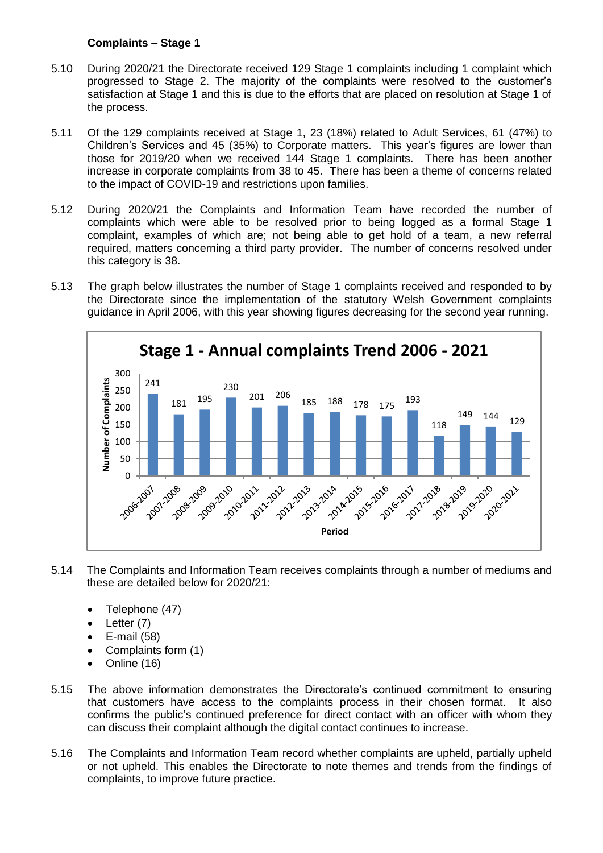## **Complaints – Stage 1**

- 5.10 During 2020/21 the Directorate received 129 Stage 1 complaints including 1 complaint which progressed to Stage 2. The majority of the complaints were resolved to the customer's satisfaction at Stage 1 and this is due to the efforts that are placed on resolution at Stage 1 of the process.
- 5.11 Of the 129 complaints received at Stage 1, 23 (18%) related to Adult Services, 61 (47%) to Children's Services and 45 (35%) to Corporate matters. This year's figures are lower than those for 2019/20 when we received 144 Stage 1 complaints. There has been another increase in corporate complaints from 38 to 45. There has been a theme of concerns related to the impact of COVID-19 and restrictions upon families.
- 5.12 During 2020/21 the Complaints and Information Team have recorded the number of complaints which were able to be resolved prior to being logged as a formal Stage 1 complaint, examples of which are; not being able to get hold of a team, a new referral required, matters concerning a third party provider. The number of concerns resolved under this category is 38.
- 5.13 The graph below illustrates the number of Stage 1 complaints received and responded to by the Directorate since the implementation of the statutory Welsh Government complaints guidance in April 2006, with this year showing figures decreasing for the second year running.



- 5.14 The Complaints and Information Team receives complaints through a number of mediums and these are detailed below for 2020/21:
	- Telephone (47)
	- $\bullet$  Letter (7)
	- E-mail (58)
	- Complaints form (1)
	- Online (16)
- 5.15 The above information demonstrates the Directorate's continued commitment to ensuring that customers have access to the complaints process in their chosen format. It also confirms the public's continued preference for direct contact with an officer with whom they can discuss their complaint although the digital contact continues to increase.
- 5.16 The Complaints and Information Team record whether complaints are upheld, partially upheld or not upheld. This enables the Directorate to note themes and trends from the findings of complaints, to improve future practice.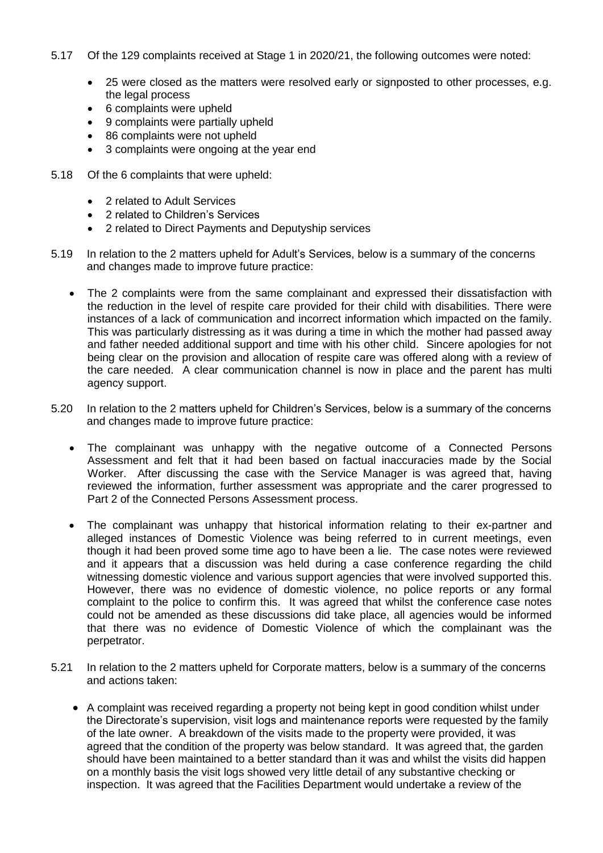- 5.17 Of the 129 complaints received at Stage 1 in 2020/21, the following outcomes were noted:
	- 25 were closed as the matters were resolved early or signposted to other processes, e.g. the legal process
	- 6 complaints were upheld
	- 9 complaints were partially upheld
	- 86 complaints were not upheld
	- 3 complaints were ongoing at the year end
- 5.18 Of the 6 complaints that were upheld:
	- 2 related to Adult Services
	- 2 related to Children's Services
	- 2 related to Direct Payments and Deputyship services
- 5.19 In relation to the 2 matters upheld for Adult's Services, below is a summary of the concerns and changes made to improve future practice:
	- The 2 complaints were from the same complainant and expressed their dissatisfaction with the reduction in the level of respite care provided for their child with disabilities. There were instances of a lack of communication and incorrect information which impacted on the family. This was particularly distressing as it was during a time in which the mother had passed away and father needed additional support and time with his other child. Sincere apologies for not being clear on the provision and allocation of respite care was offered along with a review of the care needed. A clear communication channel is now in place and the parent has multi agency support.
- 5.20 In relation to the 2 matters upheld for Children's Services, below is a summary of the concerns and changes made to improve future practice:
	- The complainant was unhappy with the negative outcome of a Connected Persons Assessment and felt that it had been based on factual inaccuracies made by the Social Worker. After discussing the case with the Service Manager is was agreed that, having reviewed the information, further assessment was appropriate and the carer progressed to Part 2 of the Connected Persons Assessment process.
	- The complainant was unhappy that historical information relating to their ex-partner and alleged instances of Domestic Violence was being referred to in current meetings, even though it had been proved some time ago to have been a lie. The case notes were reviewed and it appears that a discussion was held during a case conference regarding the child witnessing domestic violence and various support agencies that were involved supported this. However, there was no evidence of domestic violence, no police reports or any formal complaint to the police to confirm this. It was agreed that whilst the conference case notes could not be amended as these discussions did take place, all agencies would be informed that there was no evidence of Domestic Violence of which the complainant was the perpetrator.
- 5.21 In relation to the 2 matters upheld for Corporate matters, below is a summary of the concerns and actions taken:
	- A complaint was received regarding a property not being kept in good condition whilst under the Directorate's supervision, visit logs and maintenance reports were requested by the family of the late owner. A breakdown of the visits made to the property were provided, it was agreed that the condition of the property was below standard. It was agreed that, the garden should have been maintained to a better standard than it was and whilst the visits did happen on a monthly basis the visit logs showed very little detail of any substantive checking or inspection. It was agreed that the Facilities Department would undertake a review of the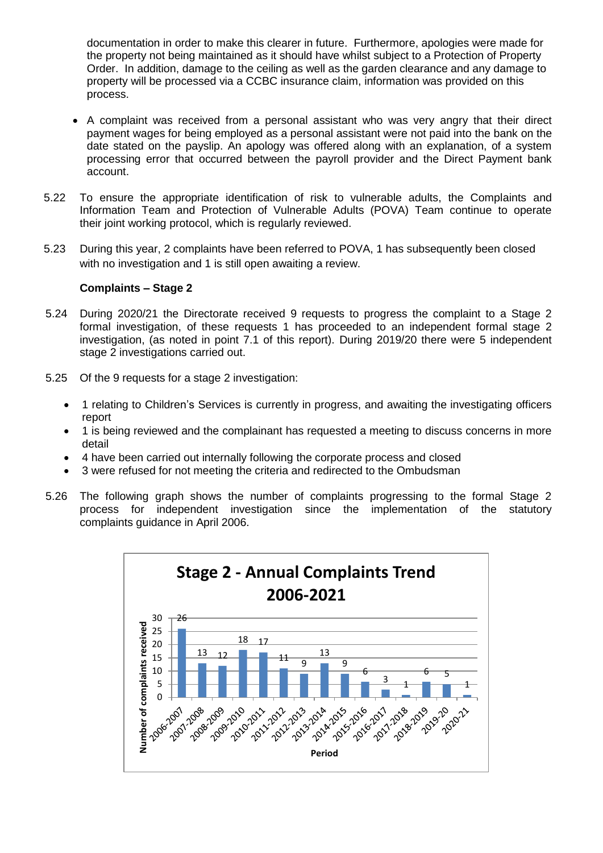documentation in order to make this clearer in future. Furthermore, apologies were made for the property not being maintained as it should have whilst subject to a Protection of Property Order. In addition, damage to the ceiling as well as the garden clearance and any damage to property will be processed via a CCBC insurance claim, information was provided on this process.

- A complaint was received from a personal assistant who was very angry that their direct payment wages for being employed as a personal assistant were not paid into the bank on the date stated on the payslip. An apology was offered along with an explanation, of a system processing error that occurred between the payroll provider and the Direct Payment bank account.
- 5.22 To ensure the appropriate identification of risk to vulnerable adults, the Complaints and Information Team and Protection of Vulnerable Adults (POVA) Team continue to operate their joint working protocol, which is regularly reviewed.
- 5.23 During this year, 2 complaints have been referred to POVA, 1 has subsequently been closed with no investigation and 1 is still open awaiting a review.

#### **Complaints – Stage 2**

- 5.24 During 2020/21 the Directorate received 9 requests to progress the complaint to a Stage 2 formal investigation, of these requests 1 has proceeded to an independent formal stage 2 investigation, (as noted in point 7.1 of this report). During 2019/20 there were 5 independent stage 2 investigations carried out.
- 5.25 Of the 9 requests for a stage 2 investigation:
	- 1 relating to Children's Services is currently in progress, and awaiting the investigating officers report
	- 1 is being reviewed and the complainant has requested a meeting to discuss concerns in more detail
	- 4 have been carried out internally following the corporate process and closed
	- 3 were refused for not meeting the criteria and redirected to the Ombudsman
- 5.26 The following graph shows the number of complaints progressing to the formal Stage 2 process for independent investigation since the implementation of the statutory complaints guidance in April 2006.

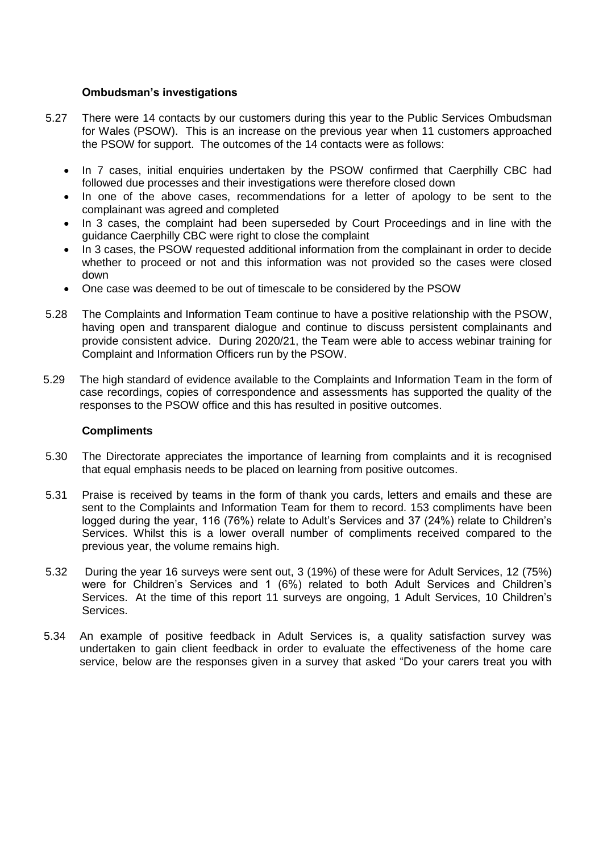#### **Ombudsman's investigations**

- 5.27 There were 14 contacts by our customers during this year to the Public Services Ombudsman for Wales (PSOW). This is an increase on the previous year when 11 customers approached the PSOW for support. The outcomes of the 14 contacts were as follows:
	- In 7 cases, initial enquiries undertaken by the PSOW confirmed that Caerphilly CBC had followed due processes and their investigations were therefore closed down
	- In one of the above cases, recommendations for a letter of apology to be sent to the complainant was agreed and completed
	- In 3 cases, the complaint had been superseded by Court Proceedings and in line with the guidance Caerphilly CBC were right to close the complaint
	- In 3 cases, the PSOW requested additional information from the complainant in order to decide whether to proceed or not and this information was not provided so the cases were closed down
	- One case was deemed to be out of timescale to be considered by the PSOW
- 5.28 The Complaints and Information Team continue to have a positive relationship with the PSOW, having open and transparent dialogue and continue to discuss persistent complainants and provide consistent advice. During 2020/21, the Team were able to access webinar training for Complaint and Information Officers run by the PSOW.
- 5.29 The high standard of evidence available to the Complaints and Information Team in the form of case recordings, copies of correspondence and assessments has supported the quality of the responses to the PSOW office and this has resulted in positive outcomes.

#### **Compliments**

- 5.30 The Directorate appreciates the importance of learning from complaints and it is recognised that equal emphasis needs to be placed on learning from positive outcomes.
- 5.31 Praise is received by teams in the form of thank you cards, letters and emails and these are sent to the Complaints and Information Team for them to record. 153 compliments have been logged during the year, 116 (76%) relate to Adult's Services and 37 (24%) relate to Children's Services. Whilst this is a lower overall number of compliments received compared to the previous year, the volume remains high.
- 5.32 During the year 16 surveys were sent out, 3 (19%) of these were for Adult Services, 12 (75%) were for Children's Services and 1 (6%) related to both Adult Services and Children's Services. At the time of this report 11 surveys are ongoing, 1 Adult Services, 10 Children's Services.
- 5.34 An example of positive feedback in Adult Services is, a quality satisfaction survey was undertaken to gain client feedback in order to evaluate the effectiveness of the home care service, below are the responses given in a survey that asked "Do your carers treat you with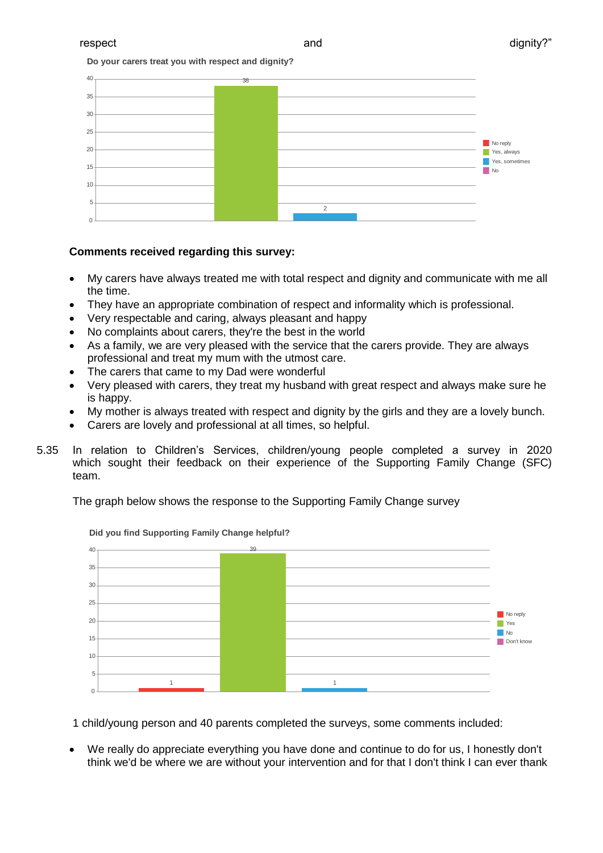**Do your carers treat you with respect and dignity?**



#### **Comments received regarding this survey:**

- My carers have always treated me with total respect and dignity and communicate with me all the time.
- They have an appropriate combination of respect and informality which is professional.
- Very respectable and caring, always pleasant and happy
- No complaints about carers, they're the best in the world
- As a family, we are very pleased with the service that the carers provide. They are always professional and treat my mum with the utmost care.
- The carers that came to my Dad were wonderful
- Very pleased with carers, they treat my husband with great respect and always make sure he is happy.
- My mother is always treated with respect and dignity by the girls and they are a lovely bunch.
- Carers are lovely and professional at all times, so helpful.
- 5.35 In relation to Children's Services, children/young people completed a survey in 2020 which sought their feedback on their experience of the Supporting Family Change (SFC) team.

The graph below shows the response to the Supporting Family Change survey



**Did you find Supporting Family Change helpful?**

1 child/young person and 40 parents completed the surveys, some comments included:

 We really do appreciate everything you have done and continue to do for us, I honestly don't think we'd be where we are without your intervention and for that I don't think I can ever thank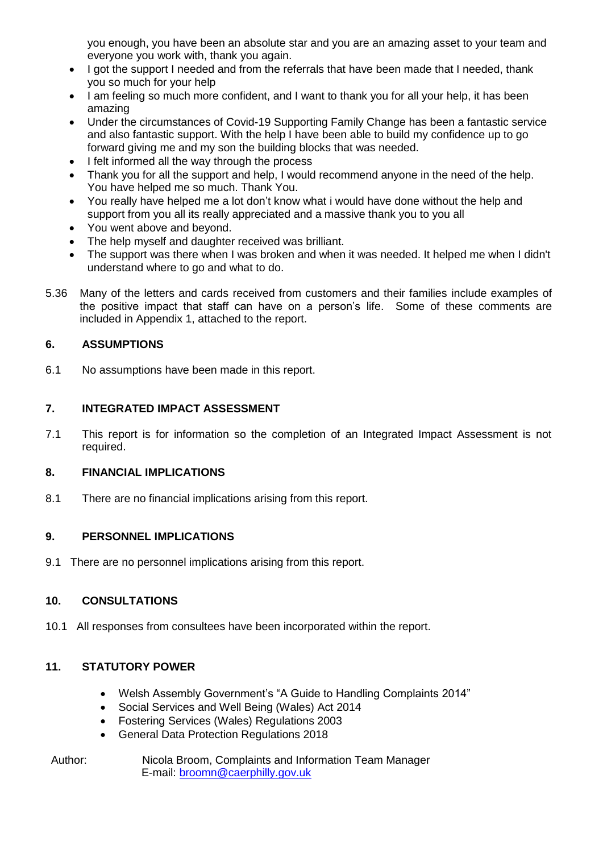you enough, you have been an absolute star and you are an amazing asset to your team and everyone you work with, thank you again.

- I got the support I needed and from the referrals that have been made that I needed, thank you so much for your help
- I am feeling so much more confident, and I want to thank you for all your help, it has been amazing
- Under the circumstances of Covid-19 Supporting Family Change has been a fantastic service and also fantastic support. With the help I have been able to build my confidence up to go forward giving me and my son the building blocks that was needed.
- I felt informed all the way through the process
- Thank you for all the support and help, I would recommend anyone in the need of the help. You have helped me so much. Thank You.
- You really have helped me a lot don't know what i would have done without the help and support from you all its really appreciated and a massive thank you to you all
- You went above and beyond.
- The help myself and daughter received was brilliant.
- The support was there when I was broken and when it was needed. It helped me when I didn't understand where to go and what to do.
- 5.36 Many of the letters and cards received from customers and their families include examples of the positive impact that staff can have on a person's life. Some of these comments are included in Appendix 1, attached to the report.

## **6. ASSUMPTIONS**

6.1 No assumptions have been made in this report.

## **7. INTEGRATED IMPACT ASSESSMENT**

7.1 This report is for information so the completion of an Integrated Impact Assessment is not required.

### **8. FINANCIAL IMPLICATIONS**

8.1 There are no financial implications arising from this report.

### **9. PERSONNEL IMPLICATIONS**

9.1 There are no personnel implications arising from this report.

# **10. CONSULTATIONS**

10.1 All responses from consultees have been incorporated within the report.

# **11. STATUTORY POWER**

- Welsh Assembly Government's "A Guide to Handling Complaints 2014"
- Social Services and Well Being (Wales) Act 2014
- Fostering Services (Wales) Regulations 2003
- General Data Protection Regulations 2018
- Author: Nicola Broom, Complaints and Information Team Manager E-mail: [broomn@caerphilly.gov.uk](mailto:broomn@caerphilly.gov.uk)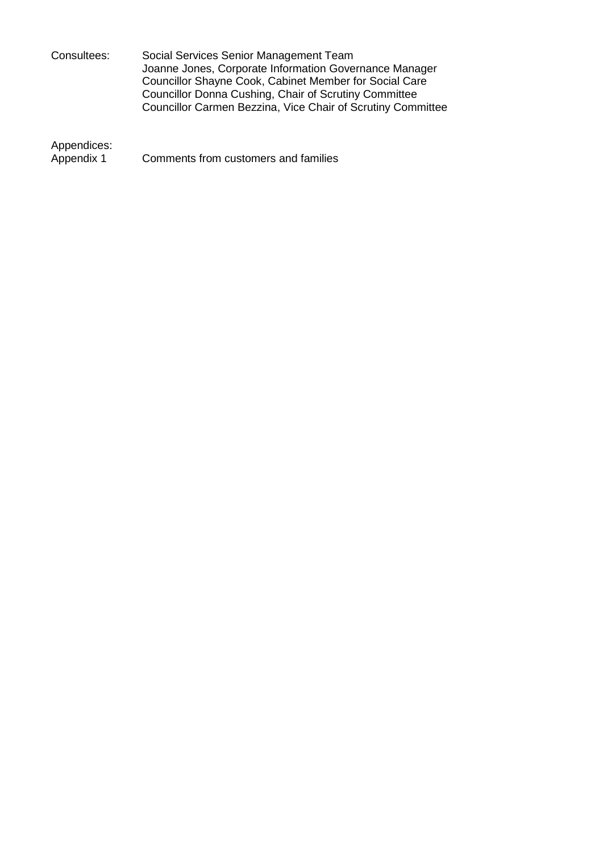Consultees: Social Services Senior Management Team Joanne Jones, Corporate Information Governance Manager Councillor Shayne Cook, Cabinet Member for Social Care Councillor Donna Cushing, Chair of Scrutiny Committee Councillor Carmen Bezzina, Vice Chair of Scrutiny Committee

Appendices:<br>Appendix 1

Comments from customers and families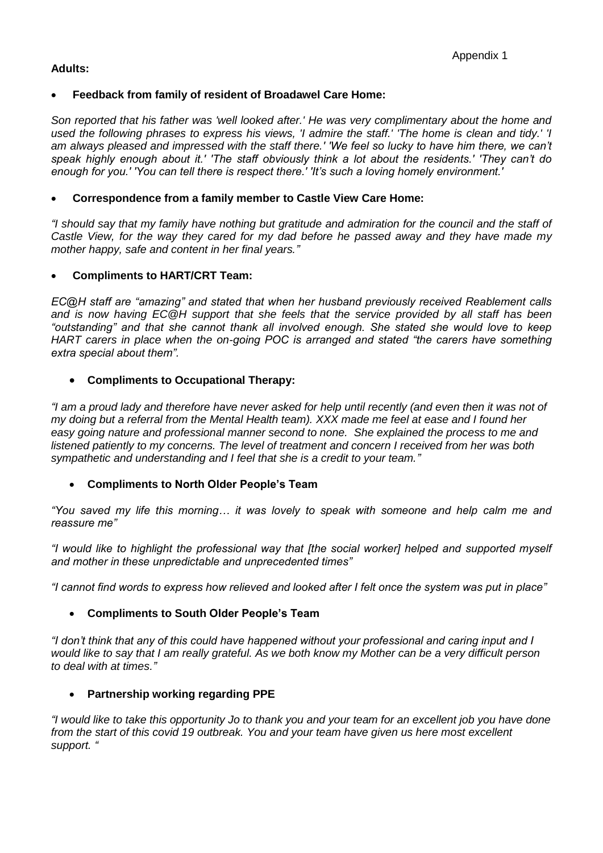## **Adults:**

## **Feedback from family of resident of Broadawel Care Home:**

*Son reported that his father was 'well looked after.' He was very complimentary about the home and used the following phrases to express his views, 'I admire the staff.' 'The home is clean and tidy.' 'I am always pleased and impressed with the staff there.' 'We feel so lucky to have him there, we can't speak highly enough about it.' 'The staff obviously think a lot about the residents.' 'They can't do enough for you.' 'You can tell there is respect there.' 'It's such a loving homely environment.'* 

## **Correspondence from a family member to Castle View Care Home:**

*"I should say that my family have nothing but gratitude and admiration for the council and the staff of Castle View, for the way they cared for my dad before he passed away and they have made my mother happy, safe and content in her final years."*

### **Compliments to HART/CRT Team:**

*EC@H staff are "amazing" and stated that when her husband previously received Reablement calls and is now having EC@H support that she feels that the service provided by all staff has been "outstanding" and that she cannot thank all involved enough. She stated she would love to keep HART carers in place when the on-going POC is arranged and stated "the carers have something extra special about them".*

## **Compliments to Occupational Therapy:**

*"I am a proud lady and therefore have never asked for help until recently (and even then it was not of my doing but a referral from the Mental Health team). XXX made me feel at ease and I found her easy going nature and professional manner second to none. She explained the process to me and listened patiently to my concerns. The level of treatment and concern I received from her was both sympathetic and understanding and I feel that she is a credit to your team."*

### **Compliments to North Older People's Team**

*"You saved my life this morning… it was lovely to speak with someone and help calm me and reassure me"* 

*"I would like to highlight the professional way that [the social worker] helped and supported myself and mother in these unpredictable and unprecedented times"* 

*"I cannot find words to express how relieved and looked after I felt once the system was put in place"*

### **Compliments to South Older People's Team**

*"I don't think that any of this could have happened without your professional and caring input and I would like to say that I am really grateful. As we both know my Mother can be a very difficult person to deal with at times."*

### **Partnership working regarding PPE**

*"I would like to take this opportunity Jo to thank you and your team for an excellent job you have done from the start of this covid 19 outbreak. You and your team have given us here most excellent support. "*